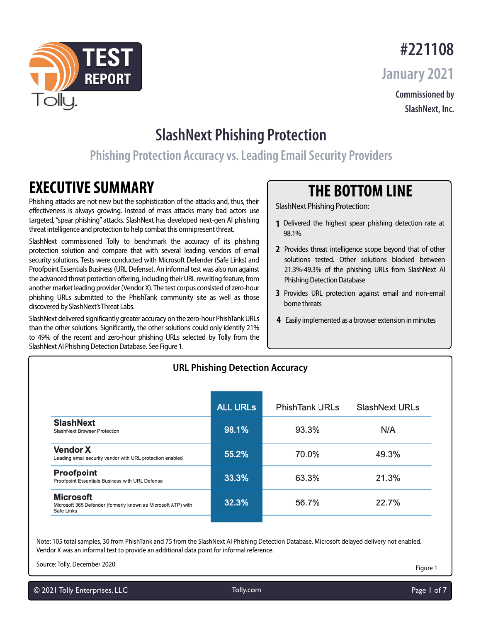



**#221108 January 2021** 

> **Commissioned by SlashNext, Inc.**

## **SlashNext Phishing Protection**

## **Phishing Protection Accuracy vs. Leading Email Security Providers**

## **EXECUTIVE SUMMARY**

olly.

Phishing attacks are not new but the sophistication of the attacks and, thus, their effectiveness is always growing. Instead of mass attacks many bad actors use targeted, "spear phishing" attacks. SlashNext has developed next-gen AI phishing threat intelligence and protection to help combat this omnipresent threat.

SlashNext commissioned Tolly to benchmark the accuracy of its phishing protection solution and compare that with several leading vendors of email security solutions. Tests were conducted with Microsoft Defender (Safe Links) and Proofpoint Essentials Business (URL Defense). An informal test was also run against the advanced threat protection offering, including their URL rewriting feature, from another market leading provider (Vendor X). The test corpus consisted of zero-hour phishing URLs submitted to the PhishTank community site as well as those discovered by SlashNext's Threat Labs.

SlashNext delivered significantly greater accuracy on the zero-hour PhishTank URLs than the other solutions. Significantly, the other solutions could only identify 21% to 49% of the recent and zero-hour phishing URLs selected by Tolly from the SlashNext AI Phishing Detection Database. See Figure 1.

## **THE BOTTOM LINE**

SlashNext Phishing Protection:

- **1** Delivered the highest spear phishing detection rate at 98.1%
- **2** Provides threat intelligence scope beyond that of other solutions tested. Other solutions blocked between 21.3%-49.3% of the phishing URLs from SlashNext AI Phishing Detection Database
- Provides URL protection against email and non-email **3** borne threats
- **4** Easily implemented as a browser extension in minutes

|                                                                                                 | UNL PHISHING DELECTION ACCUIRCY |                       |                       |
|-------------------------------------------------------------------------------------------------|---------------------------------|-----------------------|-----------------------|
|                                                                                                 | <b>ALL URLS</b>                 | <b>PhishTank URLs</b> | <b>SlashNext URLs</b> |
| <b>SlashNext</b><br>SlashNext Browser Protection                                                | 98.1%                           | 93.3%                 | N/A                   |
| <b>Vendor X</b><br>Leading email security vendor with URL protection enabled                    | 55.2%                           | 70.0%                 | 49.3%                 |
| Proofpoint<br>Proofpoint Essentials Business with URL Defense                                   | 33.3%                           | 63.3%                 | 21.3%                 |
| <b>Microsoft</b><br>Microsoft 365 Defender (formerly known as Microsoft ATP) with<br>Safe Links | 32.3%                           | 56.7%                 | 22.7%                 |
|                                                                                                 |                                 |                       |                       |

**URL Phishing Detection Accuracy**

Note: 105 total samples, 30 from PhishTank and 75 from the SlashNext AI Phishing Detection Database. Microsoft delayed delivery not enabled. Vendor X was an informal test to provide an additional data point for informal reference.

Source: Tolly, December 2020

Figure 1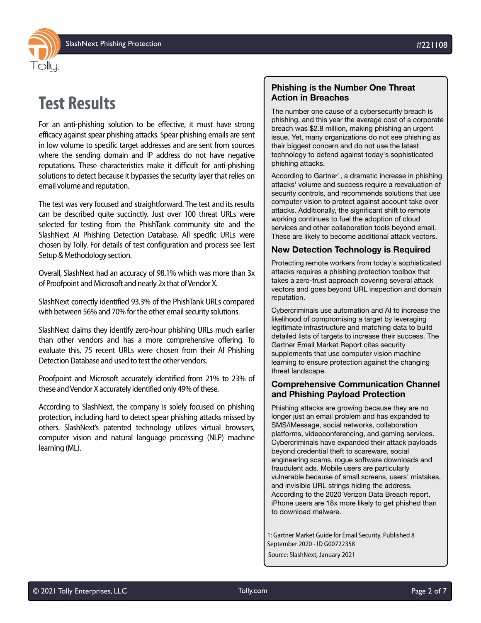

## **Test Results**

For an anti-phishing solution to be effective, it must have strong efficacy against spear phishing attacks. Spear phishing emails are sent in low volume to specific target addresses and are sent from sources where the sending domain and IP address do not have negative reputations. These characteristics make it difficult for anti-phishing solutions to detect because it bypasses the security layer that relies on email volume and reputation.

The test was very focused and straightforward. The test and its results can be described quite succinctly. Just over 100 threat URLs were selected for testing from the PhishTank community site and the SlashNext AI Phishing Detection Database. All specific URLs were chosen by Tolly. For details of test configuration and process see Test Setup & Methodology section.

Overall, SlashNext had an accuracy of 98.1% which was more than 3x of Proofpoint and Microsoft and nearly 2x that of Vendor X.

SlashNext correctly identified 93.3% of the PhishTank URLs compared with between 56% and 70% for the other email security solutions.

SlashNext claims they identify zero-hour phishing URLs much earlier than other vendors and has a more comprehensive offering. To evaluate this, 75 recent URLs were chosen from their AI Phishing Detection Database and used to test the other vendors.

Proofpoint and Microsoft accurately identified from 21% to 23% of these and Vendor X accurately identified only 49% of these.

According to SlashNext, the company is solely focused on phishing protection, including hard to detect spear phishing attacks missed by others. SlashNext's patented technology utilizes virtual browsers, computer vision and natural language processing (NLP) machine learning (ML).

### **Phishing is the Number One Threat Action in Breaches**

The number one cause of a cybersecurity breach is phishing, and this year the average cost of a corporate breach was \$2.8 million, making phishing an urgent issue. Yet, many organizations do not see phishing as their biggest concern and do not use the latest technology to defend against today's sophisticated phishing attacks.

According to Gartner<sup>1</sup>, a dramatic increase in phishing attacks' volume and success require a reevaluation of security controls, and recommends solutions that use computer vision to protect against account take over attacks. Additionally, the significant shift to remote working continues to fuel the adoption of cloud services and other collaboration tools beyond email. These are likely to become additional attack vectors.

#### **New Detection Technology is Required**

Protecting remote workers from today's sophisticated attacks requires a phishing protection toolbox that takes a zero-trust approach covering several attack vectors and goes beyond URL inspection and domain reputation.

Cybercriminals use automation and AI to increase the likelihood of compromising a target by leveraging legitimate infrastructure and matching data to build detailed lists of targets to increase their success. The Gartner Email Market Report cites security supplements that use computer vision machine learning to ensure protection against the changing threat landscape.

### **Comprehensive Communication Channel and Phishing Payload Protection**

Phishing attacks are growing because they are no longer just an email problem and has expanded to SMS/iMessage, social networks, collaboration platforms, videoconferencing, and gaming services. Cybercriminals have expanded their attack payloads beyond credential theft to scareware, social engineering scams, rogue software downloads and fraudulent ads. Mobile users are particularly vulnerable because of small screens, users' mistakes, and invisible URL strings hiding the address. According to the 2020 Verizon Data Breach report, iPhone users are 18x more likely to get phished than to download malware.

1: Gartner Market Guide for Email Security, Published 8 September 2020 - ID G00722358

Source: SlashNext, January 2021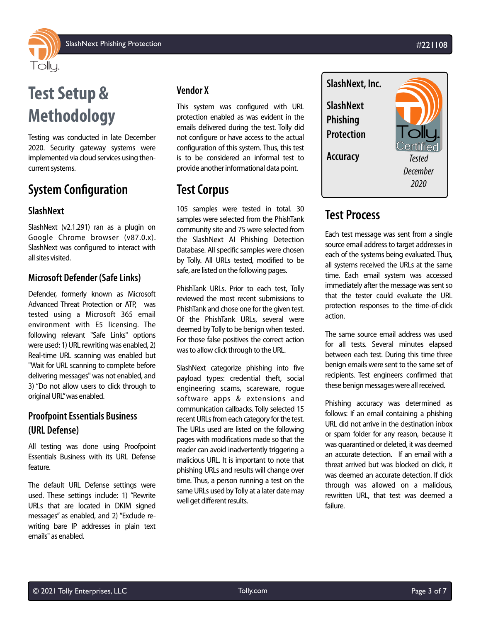

# **Test Setup & Methodology**

Testing was conducted in late December 2020. Security gateway systems were implemented via cloud services using thencurrent systems.

## **System Configuration**

### **SlashNext**

SlashNext (v2.1.291) ran as a plugin on Google Chrome browser (v87.0.x). SlashNext was configured to interact with all sites visited.

### **Microsoft Defender (Safe Links)**

Defender, formerly known as Microsoft Advanced Threat Protection or ATP, was tested using a Microsoft 365 email environment with E5 licensing. The following relevant "Safe Links" options were used: 1) URL rewriting was enabled, 2) Real-time URL scanning was enabled but "Wait for URL scanning to complete before delivering messages" was not enabled, and 3) "Do not allow users to click through to original URL" was enabled.

### **Proofpoint Essentials Business (URL Defense)**

All testing was done using Proofpoint Essentials Business with its URL Defense feature.

The default URL Defense settings were used. These settings include: 1) "Rewrite URLs that are located in DKIM signed messages" as enabled, and 2) "Exclude rewriting bare IP addresses in plain text emails" as enabled.

### **Vendor X**

This system was configured with URL protection enabled as was evident in the emails delivered during the test. Tolly did not configure or have access to the actual configuration of this system. Thus, this test is to be considered an informal test to provide another informational data point.

## **Test Corpus**

105 samples were tested in total. 30 samples were selected from the PhishTank community site and 75 were selected from the SlashNext AI Phishing Detection Database. All specific samples were chosen by Tolly. All URLs tested, modified to be safe, are listed on the following pages.

PhishTank URLs. Prior to each test, Tolly reviewed the most recent submissions to PhishTank and chose one for the given test. Of the PhishTank URLs, several were deemed by Tolly to be benign when tested. For those false positives the correct action was to allow click through to the URL.

SlashNext categorize phishing into five payload types: credential theft, social engineering scams, scareware, rogue software apps & extensions and communication callbacks. Tolly selected 15 recent URLs from each category for the test. The URLs used are listed on the following pages with modifications made so that the reader can avoid inadvertently triggering a malicious URL. It is important to note that phishing URLs and results will change over time. Thus, a person running a test on the same URLs used by Tolly at a later date may well get different results.



## **Test Process**

Each test message was sent from a single source email address to target addresses in each of the systems being evaluated. Thus, all systems received the URLs at the same time. Each email system was accessed immediately after the message was sent so that the tester could evaluate the URL protection responses to the time-of-click action.

The same source email address was used for all tests. Several minutes elapsed between each test. During this time three benign emails were sent to the same set of recipients. Test engineers confirmed that these benign messages were all received.

Phishing accuracy was determined as follows: If an email containing a phishing URL did not arrive in the destination inbox or spam folder for any reason, because it was quarantined or deleted, it was deemed an accurate detection. If an email with a threat arrived but was blocked on click, it was deemed an accurate detection. If click through was allowed on a malicious, rewritten URL, that test was deemed a failure.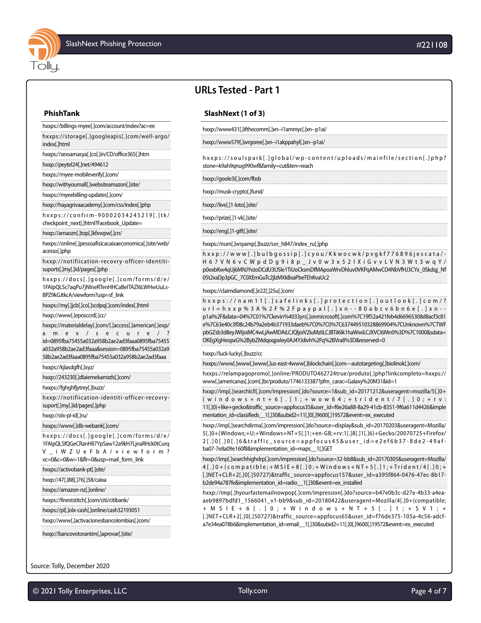

## **URLs Tested - Part 1**

#### **PhishTank**

hxxps://billings-myee[.]com/account/index?ac=ee hxxps://storage[.]googleapis[.]com/well-argo/ index[.]html

hxxps://sexsamasya[.]co[.]in/CD/office365[.]htm

hxxp://peytel24[.]net/494612

hxxps://myee-mobileverify[.]com/

hxxp://withyoumall[.]websiteamazon[.]site/

hxxps://myeebilling-updates[.]com/

hxxp://hayagrivaacademy[.]com/css/index[.]php

hxxps://confirm-90002034245219[.]tk/ checkpoint\_next[.]html?Facebook\_Update=

#### hxxp://amaozn[.]top[.]kfxwpw[.]cn/

hxxps://online[.]pessoafisicacaixaeconomica[.]site/web/ acesso[.]php

hxxp://notifiication-recovry-officer-identitisuports[.]my[.]id/pages[.]php

hxxps://docs[.]google[.]com/forms/d/e/ 1FAIpQLSc7aqPu7jNlneRTenHHCaBeITAZl6LWHwUuLs-BPZ9kGJtkcA/viewform?usp=sf\_link

hxxps://my[.]jcb[.]co[.]scdpq[.]com/index[.]html hxxp://www[.]eposccrd[.]cc/

hxxps://materialdelay[.]com/[.]access[.]american[.]exp/

amex/secure/ id=0895fba75455a032a958b2ae2ad3faaa0895fba75455 a032a958b2ae2ad3faaa&session=0895fba75455a032a9 58b2ae2ad3faaa0895fba75455a032a958b2ae2ad3faaa

hxxps://kjlasdgfh[.]xyz/

hxxp://243230[.]dlaiemekamzds[.]com/

hxxps://fghghfjytrey[.]buzz/

hxxp://notifiication-identiti-officer-recovrysuport[.]my[.]id/pages[.]php

#### hxxp://olx-pl-id[.]ru/

hxxps://www[.]db-webank[.]com/

hxxps://docs[.]google[.]com/forms/d/e/ 1FAIpQLSfQGeCRanHlI7YpSaw12a9kH7LjnaRHck0tCurq

V\_iWZUeFbA/viewform? vc=0&c=0&w=1&flr=0&usp=mail\_form\_link

hxxps://activobank-pt[.]site/

hxxp://47[.]88[.]76[.]58/caixa

hxxps://amazon-nz[.]online/

hxxps://fineststitch[.]com/citi/citibank/

hxxps://pl[.]olx-cash[.]online/cash32193051

hxxp://www[.]activacionesbancolombias[.]com/

hxxp://bancovotorantim[.]aprovar[.]site/

#### Source: Tolly, December 2020

© 2021 Tolly Enterprises, LLC [Tolly.com](http://www.tolly.com) Page 4 of 7

#### **SlashNext (1 of 3)**

hxxp://www431[.]ifthecomm[.]xn--i1ammyc[.]xn--p1ai/

hxxp://www579[.]wrgoree[.]xn--i1akppahyl[.]xn--p1ai/

hxxps://soulspark[.]global/wp-content/uploads/mainfile/section[.]php? stone=k9ah9qnug990wf&family=cut&ten=reach

hxxp://goole3i[.]com/fbsb

hxxp://musk-crypto[.]fund/

hxxp://live[.]1-loto[.]site/

hxxp://prize[.]1-vk[.]site/

hxxp://eng[.]1-gift[.]site/

#### hxxps://num[.]wsyamp[.]buzz/ssn\_h847/index\_ru[.]php

hxxp://www[.]bulbgossip[.]cyou/Kkwocwk/pvgkf776896jescata/- H67VN6vCWpdDg9i8p\_Jv0w3x52lXiGvvLVN3Wt3wqY/ p0exbKw4qUj6MNJYvzoDCdU3USle1TiUoCksmDfMApoaWrvDhluv0VKPqAMwCO4NbVfHJ3CYx\_0Skdqj\_Nf 05t2xaDp3pGC\_7C0XEmGuTc2jlzMXkBxaPbeTEhKvaUc2

hxxps://claimdiamond[.]e22[.]25u[.]com/

hxxps://nam11[.]safelinks[.]protection[.]outlook[.]com/? url=hxxp%3A%2F%2Fpaypal[.]xn--80abcv6bn6e[.]xn- p1ai%2F&data=04%7C01%7Ckevin%4033yrs[.]onmicrosoft[.]com%7C19f52a421feb4d66965308d8acf3c81 e%7C63e40c3f08c24b79a2eb4b371933daeb%7C0%7C0%7C637449510328869904%7CUnknown%7CTWF pbGZsb3d8eyJWIjoiMC4wLjAwMDAiLCJQIjoiV2luMzIiLCJBTiI6Ik1haWwiLCJXVCI6Mn0%3D%7C1000&sdata= OKEgXgHeopxG%2BybZMdqoqpxIey0AJ4YJdivh%2Fq%2BVra8%3D&reserved=0

#### hxxp://luck-lucky[.]buzz/cc

hxxps://www[.]www[.]www[.]us-east-4www[.]blockchain[.]com---autotargeting[.]biolinok[.]com/

hxxps://relampagopromo[.]online/PRODUTO462724true/produto[.]php?linkcompleto=hxxps:// www[.]americanas[.]com[.]br/produto/1746133387?pfm\_carac=Galaxy%20M31&id=1

hxxp://imp[.]searchlcll[.]com/impression[.]do?source=1&sub\_id=20171212&useragent=mozilla/5[.]0+ (windows+nt+6[.]1;+wow64;+trident/7[.]0;+rv: 11[.]0)+like+gecko&traffic\_source=appfocus35&user\_id=f6e26a88-8a29-41cb-8351-9f6a611d4426&imple mentation\_id=classifieds\_\_1[.]30&subid2=11[.]0[.]9600[.]19572&event=ex\_executed

hxxp://imp[.]searchdirma[.]com/impression[.]do?source=display&sub\_id=20170203&useragent=Mozilla/ 5[.]0+(Windows;+U;+Windows+NT+5[.]1;+en-GB;+rv:1[.]8[.]1[.]6)+Gecko/20070725+Firefox/ 2[.]0[.]0[.]6&traffic\_source=appfocus45&user\_id=e2ef6b37-8de2-49afba07-7e8a09e160f8&implementation\_id=maps\_\_1[.]GET

hxxp://imp[.]searchhighdrp[.]com/impression[.]do?source=32-bb8&sub\_id=20170305&useragent=Mozilla/ 4[.]0+(compatible;+MSIE+8[.]0;+Windows+NT+5[.]1;+Trident/4[.]0;+ [.]NET+CLR+2[.]0[.]50727)&traffic\_source=appfocus157&user\_id=a395f864-0476-47ec-8b17 b2de94a787fe&implementation\_id=radio\_\_1[.]30&event=ex\_installed

hxxp://imp[.]hyourfastemailnowpop[.]com/impression[.]do?source=b47e0b3c-d27e-4b33-a4eaaeb9897bdfd1\_1566041\_v1-bb9&sub\_id=20180422&useragent=Mozilla/4[.]0+(compatible; +MSIE+6[.]0;+Windows+NT+5[.]1;+SV1;+ [.]NET+CLR+2[.]0[.]50727)&traffic\_source=appfocus65&user\_id=f76de375-105a-4c56-adcfa7e34ea078b6&implementation\_id=email\_\_1[.]30&subid2=11[.]0[.]9600[.]19572&event=ex\_executed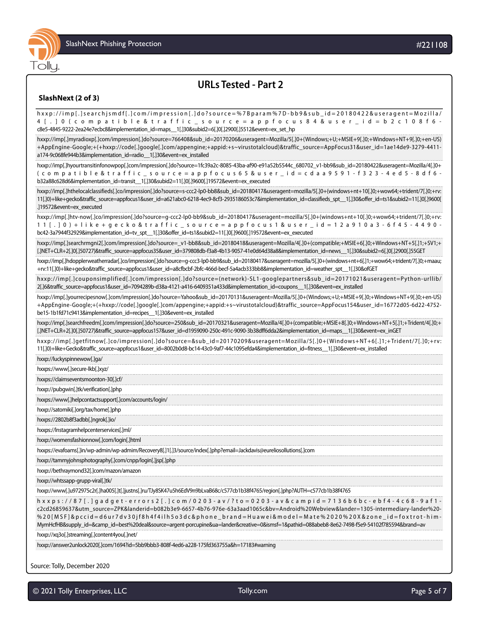

## **URLs Tested - Part 2**

#### **SlashNext (2 of 3)**

| hxxp://imp[.]searchjsmdf[.]com/impression[.]do?source=%7Bparam%7D-bb9⊂_id=20180422&useragent=Mozilla/<br>4 [.] O (compatible & traffic _ source = appfocus 8 4 & user _ id = b 2 c 1 0 8 f 6 -<br>c8e5-4845-9222-2ea24e7ecbc8&implementation_id=maps_1[.]30&subid2=6[.]0[.]2900[.]5512&event=ex_set_hp                                                                                    |
|-------------------------------------------------------------------------------------------------------------------------------------------------------------------------------------------------------------------------------------------------------------------------------------------------------------------------------------------------------------------------------------------|
| hxxp://imp[.]myradioxp[.]com/impression[.]do?source=766408⊂_id=20170206&useragent=Mozilla/5[.]0+(Windows;+U;+MSIE+9[.]0;+Windows+NT+9[.]0;+en-US)<br>+AppEngine-Google;+(+hxxp://code[.]google[.]com/appengine;+appid:+s~virustotalcloud)&traffic_source=AppFocus31&user_id=1ae14de9-3279-4411-<br>a174-9c068fe944b3&implementation_id=radio__1[.]30&event=ex_installed                   |
| hxxp://imp[.]hyourtransitinfonowpop[.]com/impression[.]do?source=1fc39a2c-8085-43ba-af90-e91a52b5544c 680702 v1-bb9⊂ id=20180422&useragent=Mozilla/4[.]0+                                                                                                                                                                                                                                 |
| (compatible & traffic _ source = appfocus 65 & user _ id = cdaa 9591 - f323 - 4 ed 5 - 8 df6 -<br>b32a88c628d6&implementation_id=transit_1[.]30&subid2=11[.]0[.]9600[.]19572&event=ex_executed                                                                                                                                                                                            |
| hxxp://imp[.]hthelocalclassifieds[.]co/impression[.]do?source=s-ccc2-lp0-bb8⊂_id=20180417&useragent=mozilla/5[.]0+(windows+nt+10[.]0;+wow64;+trident/7[.]0;+rv:<br>11[.]0)+like+gecko&traffic_source=appfocus1&user_id=a621abc0-6218-4ec9-8cf3-2935186053c7&implementation_id=classifieds_spt_1[.]30&offer_id=ts1&subid2=11[.]0[.]9600[<br>.]19572&event=ex_executed                      |
| hxxp://imp[.]htv-now[.]co/impression[.]do?source=g-ccc2-lp0-bb9⊂_id=20180417&useragent=mozilla/5[.]0+(windows+nt+10[.]0;+wow64;+trident/7[.]0;+rv:                                                                                                                                                                                                                                        |
| 11[.] 0 ) + like + gecko & traffic _ source = appfocus 1 & user _ id = 1 2 a 9 1 0 a 3 - 6 f 4 5 - 4 4 9 0 -<br>bc42-3a7944f32929&implementation_id=tv_spt_1[.]30&offer_id=ts1&subid2=11[.]0[.]9600[.]19572&event=ex_executed                                                                                                                                                             |
| hxxp://imp[.]searchrmgni2[.]com/impression[.]do?source=_v1-bb8⊂_id=20180418&useragent=Mozilla/4[.]0+(compatible;+MSIE+6[.]0;+Windows+NT+5[.]1;+SV1;+<br>[.]NET+CLR+2[.]0[.]50727)&traffic_source=appfocus35&user_id=379808db-f3a8-4b13-9057-41e0d64d38a8&implementation_id=news__1[.]30&subid2=6[.]0[.]2900[.]55GET                                                                       |
| hxxp://imp[.]hdopplerweatherradar[.]co/impression[.]do?source=g-ccc3-lp0-bb9⊂_id=20180417&useragent=mozilla/5[.]0+(windows+nt+6[.]1;+wow64;+trident/7[.]0;+maau;<br>+rv:11[.]0)+like+gecko&traffic_source=appfocus1&user_id=a8cfbcbf-2bfc-466d-becf-5a4acb333bb8&implementation_id=weather_spt_1[.]30&ofGET                                                                               |
| hxxp://imp[.]couponsimplified[.]com/impression[.]do?source=(network)-SL1-googlepartners⊂_id=20171021&useragent=Python-urllib/<br>2[.]6&traffic_source=appfocus1&user_id=7094289b-d38a-4121-a416-6409351a433d&implementation_id=coupons__1[.]30&event=ex_installed                                                                                                                         |
| hxxp://imp[.]yourrecipesnow[.]com/impression[.]do?source=Yahoo⊂_id=20170131&useragent=Mozilla/5[.]0+(Windows;+U;+MSIE+9[.]0;+Windows+NT+9[.]0;+en-US)<br>+AppEngine-Google;+(+hxxp://code[.]google[.]com/appengine;+appid:+s~virustotalcloud)&traffic_source=AppFocus154&user_id=16772d05-6d22-4752-<br>be15-1b1fd71c9413&implementation_id=recipes__1[.]30&event=ex_installed            |
| hxxp://imp[.]searchfreedm[.]com/impression[.]do?source=250⊂_id=20170321&useragent=Mozilla/4[.]0+(compatible;+MSIE+8[.]0;+Windows+NT+5[.]1;+Trident/4[.]0;+<br>[.]NET+CLR+2[.]0[.]50727)&traffic_source=appfocus157&user_id=d1959090-250c-491c-9090-3b38dff6dda2&implementation_id=maps__1[.]30&event=ex_inGET                                                                             |
| hxxp://imp[.]getfitnow[.]co/impression[.]do?source=⊂_id=20170209&useragent=Mozilla/5[.]0+(Windows+NT+6[.]1;+Trident/7[.]0;+rv:<br>11[.]0)+like+Gecko&traffic_source=appfocus1&user_id=8002b0d8-bc14-43c0-9af7-44c1095efda4&implementation_id=fitness_1[.]30&event=ex_installed                                                                                                            |
| hxxp://luckyspinnewow[.]ga/                                                                                                                                                                                                                                                                                                                                                               |
| hxxps://www[.]secure-lkb[.]xyz/                                                                                                                                                                                                                                                                                                                                                           |
| hxxps://claimseventsmoonton-30[.]cf/                                                                                                                                                                                                                                                                                                                                                      |
| hxxp://pubgwin[.]tk/verification[.]php                                                                                                                                                                                                                                                                                                                                                    |
| hxxps://www[.]helpcontactsupport[.]com/accounts/login/                                                                                                                                                                                                                                                                                                                                    |
| hxxp://satomiki[.]org/tax/home[.]php                                                                                                                                                                                                                                                                                                                                                      |
| hxxps://2802b8f3adbb[.]ngrok[.]io/                                                                                                                                                                                                                                                                                                                                                        |
| hxxps://Instagramhelpcenterservices[.]ml/                                                                                                                                                                                                                                                                                                                                                 |
| hxxp://womensfashionnow[.]com/login[.]html                                                                                                                                                                                                                                                                                                                                                |
| hxxps://evafoams[.]in/wp-admin/wp-admim/Recovery8[.]1[.]3/source/index[.]php?email=Jackdavis@eureliosollutions[.]com                                                                                                                                                                                                                                                                      |
| hxxp://tammyjohnsphotography[.]com/cnpp/login[.]jsp[.]php                                                                                                                                                                                                                                                                                                                                 |
| hxxp://bethraymond32[.]com/mazon/amazon                                                                                                                                                                                                                                                                                                                                                   |
| hxxp://whtssapp-grupp-viral[.]tk/                                                                                                                                                                                                                                                                                                                                                         |
| hxxp://www[.]u972975c2r[.]ha005[.]t[.]justns[.]ru/TJy8SK47u5h6EdV9n9bLvaB68c/c577cb1b38f4765/region[.]php?AUTH=c577cb1b38f4765                                                                                                                                                                                                                                                            |
| h x x p s : / / 8 7 [ . ] g a d g e t - e r r o r s 2 [ . ] c o m / 0 2 0 3 - a v / ? t o = 0 2 0 3 - a v & c a m p i d = 7 1 3 6 b 6 b c - e b f 4 - 4 c 6 8 - 9 a f 1 -                                                                                                                                                                                                                 |
| c2cd26859637&utm_source=ZPK&landerid=b082b3e9-6657-4b76-976e-63a3aad1065c&bv=Android%20Webview&lander=1305-intermediary-lander%20-<br>%20[MSF]&pccid=d6ur7dv30jf8h4f4ilh5o3dc☎_brand=Huawei&model=Mate%2020%20X&zone_id=foxtrot-him-<br>MymHcfHB&supply_id=&camp_id=best%20deal&source=argent-porcupine&ua=lander&creative=0&ismsf=1&pathid=088abeb8-8e62-7498-f5e9-54102f785594&brand=av |
| hxxp://xq3o[.]streaming[.]content4you[.]net/                                                                                                                                                                                                                                                                                                                                              |

hxxp://answer2unlock2020[.]com/1694?id=5bb9bbb3-808f-4ed6-a228-175fd363755a&h=17183#warning

Source: Tolly, December 2020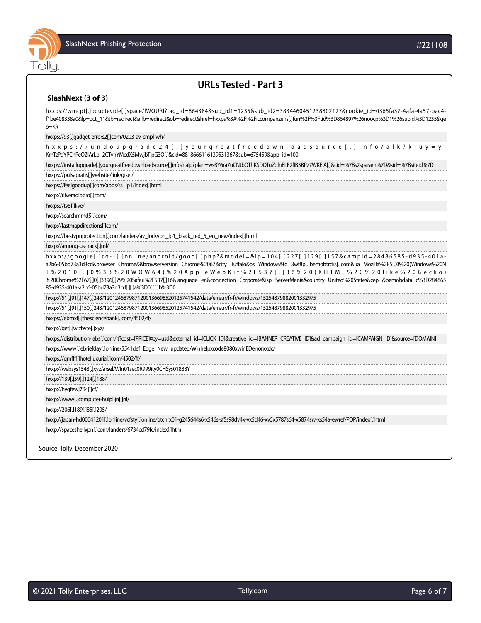

## **URLs Tested - Part 3**

#### **SlashNext (3 of 3)**

hxxps://wmcpt[.]oductevide[.]space/IWOURI?tag\_id=864384&sub\_id1=1235&sub\_id2=3834460451238802127&cookie\_id=0365fa37-4afa-4a57-bac4 f1be408338a0&lp=oct\_11&tb=redirect&allb=redirect&ob=redirect&href=hxxps%3A%2F%2Ficcompanzens[.]fun%2F%3Ftid%3D864897%26noocp%3D1%26subid%3D1235&ge o=KR hxxps://93[.]gadget-errors2[.]com/0203-av-cmpl-wh/ hxxps://undoupgrade24[.]yourgreatfreedownloadsource[.]info/alk?kiuy=y-KmTzPdYPCnPeOZIArLb\_2CTvhYMcdX5MwjbTlpG3Q[.]&cid=8818666116139531367&sub=675459&app\_id=100 hxxps://installupgrade[.]yourgreatfreedownloadsource[.]info/nalp?plan=wsBY6ra7uCNtbQThKSDOTuZolnELE2fIB5BPz7WKEiA[.]&cid=%7Bs2sparam%7D&sid=%7Bsiteid%7D hxxps://pulsagratis[.]website/link/gisel/ hxxps://feelgoodup[.]com/apps/ss\_lp1/index[.]html hxxp://tliveradiopro[.]com/ hxxps://tv5[.]live/ hxxp://searchmmd5[.]com/ hxxp://fastmapdirections[.]com/ hxxps://bestvpnprotection[.]com/landers/av\_lockvpn\_lp1\_black\_red\_5\_en\_new/index[.]html hxxp://among-us-hack[.]ml/ hxxp://google[.]co-1[.]online/android/good[.]php?&model=&ip=104[.]227[.]129[.]157&campid=28486585-d935-401aa2b6-05bd73a3d3cd&browser=Chrome&&browserversion=Chrome%2067&city=Buffalo&os=Windows&td=8wf8p[.]bemobtrcks[.]com&ua=Mozilla%2F5[.]0%20(Windows%20N T%2010[.]0%3B%20WOW64)%20AppleWebKit%2F537[.]36%20(KHTML%2C%20like%20Gecko) %20Chrome%2F67[.]0[.]3396[.]79%20Safari%2F537[.]16&language=en&connection=Corporate&isp=ServerMania&country=United%20States&cep=&bemobdata=c%3D284865 85-d935-401a-a2b6-05bd73a3d3cd[.][.]a%3D0[.][.]b%3D0 hxxp://51[.]91[.]147[.]243/1201246879871200136698520125741542/data/erreur/fr-fr/windows/15254879882001332975 hxxp://51[.]91[.]150[.]243/1201246879871200136698520125741542/data/erreur/fr-fr/windows/15254879882001332975 hxxps://ebmxf[.]thesciencebank[.]com/4502/ff/ hxxp://get[.]wizbyte[.]xyz/ hxxps://distribution-labs[.]com/it?cost=[PRICE]¤cy=usd&external\_id=[CLICK\_ID]&creative\_id=[BANNER\_CREATIVE\_ID]&ad\_campaign\_id=[CAMPAIGN\_ID]&source=[DOMAIN] hxxps://www[.]ebriefday[.]online/5541def\_Edge\_New\_updated/Winhelpxcode8080xwinEDerrorxxdc/ hxxps://qmflf[.]hotelluxuria[.]com/4502/ff/ hxxp://websys1548[.]xyz/arsel/WIn01sec0R999ity0CHSys01888Y hxxp://139[.]59[.]124[.]188/ hxxp://hygfewj764[.]cf/ hxxp://www[.]computer-hulplijn[.]nl/ hxxp://206[.]189[.]85[.]205/ hxxp://japan-hd00041201[.]online/vcfsty[.]online/otchrx01-g245644s6-x546s-sf5s98dv4x-vx5d46-xv5x5787s64-x5874sw-xs54a-ewref/POP/index[.]html hxxp://spaceshellvpn[.]com/landers/6734cd79fc/index[.]html Source: Tolly, December 2020